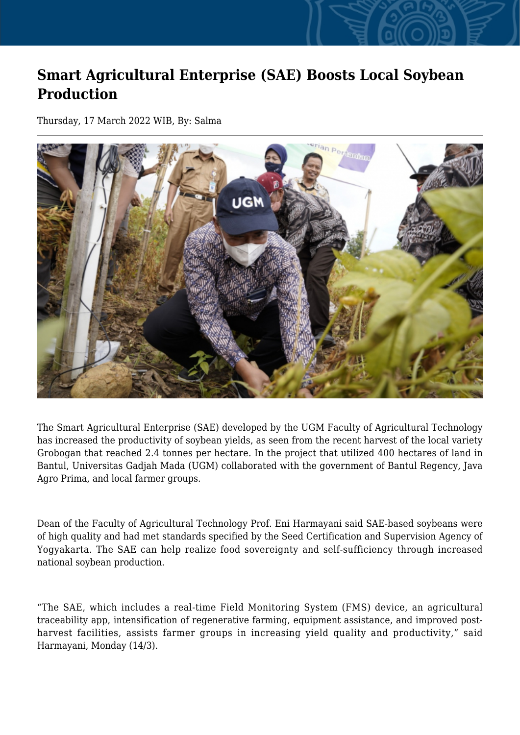## **Smart Agricultural Enterprise (SAE) Boosts Local Soybean Production**

Thursday, 17 March 2022 WIB, By: Salma



The Smart Agricultural Enterprise (SAE) developed by the UGM Faculty of Agricultural Technology has increased the productivity of soybean yields, as seen from the recent harvest of the local variety Grobogan that reached 2.4 tonnes per hectare. In the project that utilized 400 hectares of land in Bantul, Universitas Gadjah Mada (UGM) collaborated with the government of Bantul Regency, Java Agro Prima, and local farmer groups.

Dean of the Faculty of Agricultural Technology Prof. Eni Harmayani said SAE-based soybeans were of high quality and had met standards specified by the Seed Certification and Supervision Agency of Yogyakarta. The SAE can help realize food sovereignty and self-sufficiency through increased national soybean production.

"The SAE, which includes a real-time Field Monitoring System (FMS) device, an agricultural traceability app, intensification of regenerative farming, equipment assistance, and improved postharvest facilities, assists farmer groups in increasing yield quality and productivity," said Harmayani, Monday (14/3).